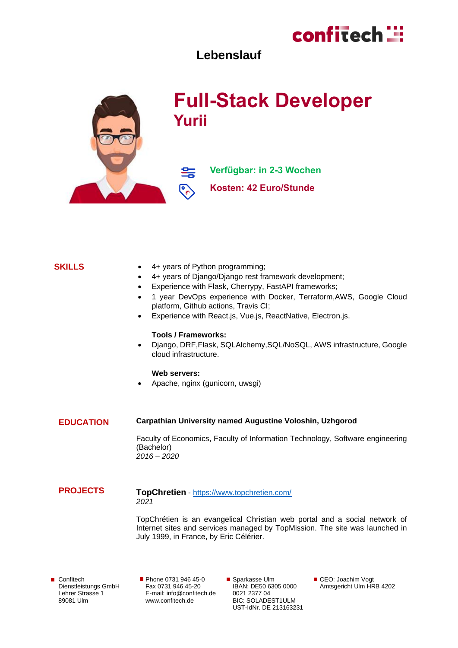# confitech ::

# **Lebenslauf**



## **SKILLS**

- 4+ years of Python programming;
- 4+ years of Django/Django rest framework development;
- Experience with Flask, Cherrypy, FastAPI frameworks;
- 1 year DevOps experience with Docker, Terraform,AWS, Google Cloud platform, Github actions, Travis CI;
- Experience with React.js, Vue.js, ReactNative, Electron.js.

#### **Tools / Frameworks:**

• Django, DRF,Flask, SQLAlchemy,SQL/NoSQL, AWS infrastructure, Google cloud infrastructure.

#### **Web servers:**

• Apache, nginx (gunicorn, uwsgi)

#### **EDUCATION Carpathian University named Augustine Voloshin, Uzhgorod**

Faculty of Economics, Faculty of Information Technology, Software engineering (Bachelor) *2016 – 2020*

#### **PROJECTS TopChretien** - <https://www.topchretien.com/> *2021*

TopChrétien is an evangelical Christian web portal and a social network of Internet sites and services managed by TopMission. The site was launched in July 1999, in France, by Eric Célérier.

Confitech Dienstleistungs GmbH Lehrer Strasse 1 89081 Ulm

Phone 0731 946 45-0 Fax 0731 946 45-20 E-mail[: info@confitech.de](mailto:info@confitech.de) www.confitech.de

■ Sparkasse Ulm IBAN: DE50 6305 0000 0021 2377 04 BIC: SOLADEST1ULM UST-IdNr. DE 213163231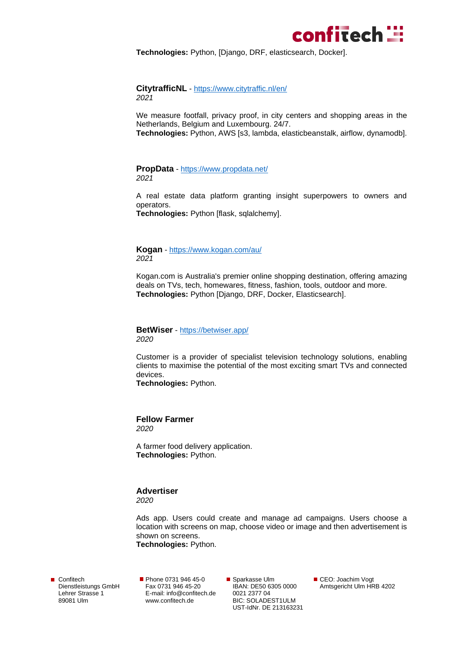

**Technologies:** Python, [Django, DRF, elasticsearch, Docker].

#### **CitytrafficNL** - <https://www.citytraffic.nl/en/> *2021*

We measure footfall, privacy proof, in city centers and shopping areas in the Netherlands, Belgium and Luxembourg. 24/7.

**Technologies:** Python, AWS [s3, lambda, elasticbeanstalk, airflow, dynamodb].

**PropData** - <https://www.propdata.net/> *2021*

A real estate data platform granting insight superpowers to owners and operators.

**Technologies:** Python [flask, sqlalchemy].

**Kogan** - <https://www.kogan.com/au/> *2021*

Kogan.com is Australia's premier online shopping destination, offering amazing deals on TVs, tech, homewares, fitness, fashion, tools, outdoor and more. **Technologies:** Python [Django, DRF, Docker, Elasticsearch].

**BetWiser** - <https://betwiser.app/> *2020*

Customer is a provider of specialist television technology solutions, enabling clients to maximise the potential of the most exciting smart TVs and connected devices.

**Technologies:** Python.

**Fellow Farmer** *2020*

A farmer food delivery application. **Technologies:** Python.

### **Advertiser**

*2020*

Ads app. Users could create and manage ad campaigns. Users choose a location with screens on map, choose video or image and then advertisement is shown on screens.

**Technologies:** Python.

Confitech Dienstleistungs GmbH Lehrer Strasse 1 89081 Ulm

Phone 0731 946 45-0 Fax 0731 946 45-20 E-mail[: info@confitech.de](mailto:info@confitech.de) www.confitech.de

■ Sparkasse Ulm IBAN: DE50 6305 0000 0021 2377 04 BIC: SOLADEST1ULM UST-IdNr. DE 213163231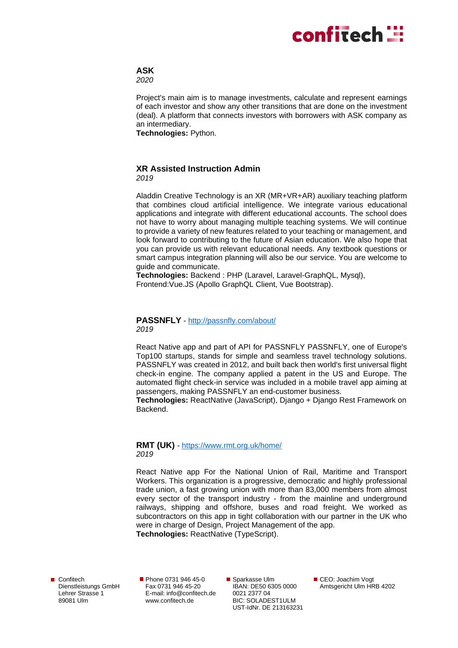# confitech **:::**

# **ASK**

*2020*

Project's main aim is to manage investments, calculate and represent earnings of each investor and show any other transitions that are done on the investment (deal). A platform that connects investors with borrowers with ASK company as an intermediary.

**Technologies:** Python.

# **XR Assisted Instruction Admin**

*2019*

Aladdin Creative Technology is an XR (MR+VR+AR) auxiliary teaching platform that combines cloud artificial intelligence. We integrate various educational applications and integrate with different educational accounts. The school does not have to worry about managing multiple teaching systems. We will continue to provide a variety of new features related to your teaching or management, and look forward to contributing to the future of Asian education. We also hope that you can provide us with relevant educational needs. Any textbook questions or smart campus integration planning will also be our service. You are welcome to guide and communicate.

**Technologies:** Backend : PHP (Laravel, Laravel-GraphQL, Mysql), Frontend:Vue.JS (Apollo GraphQL Client, Vue Bootstrap).

### **PASSNFLY** - <http://passnfly.com/about/> *2019*

React Native app and part of API for PASSNFLY PASSNFLY, one of Europe's Top100 startups, stands for simple and seamless travel technology solutions. PASSNFLY was created in 2012, and built back then world's first universal flight check-in engine. The company applied a patent in the US and Europe. The automated flight check-in service was included in a mobile travel app aiming at passengers, making PASSNFLY an end-customer business.

**Technologies:** ReactNative (JavaScript), Django + Django Rest Framework on **Backend** 

### **RMT (UK)** - <https://www.rmt.org.uk/home/> *2019*

React Native app For the National Union of Rail, Maritime and Transport Workers. This organization is a progressive, democratic and highly professional trade union, a fast growing union with more than 83,000 members from almost every sector of the transport industry - from the mainline and underground railways, shipping and offshore, buses and road freight. We worked as subcontractors on this app in tight collaboration with our partner in the UK who were in charge of Design, Project Management of the app.

**Technologies:** ReactNative (TypeScript).

Confitech Dienstleistungs GmbH Lehrer Strasse 1 89081 Ulm

Phone 0731 946 45-0 Fax 0731 946 45-20 E-mail[: info@confitech.de](mailto:info@confitech.de) www.confitech.de

■ Sparkasse Ulm IBAN: DE50 6305 0000 0021 2377 04 BIC: SOLADEST1ULM UST-IdNr. DE 213163231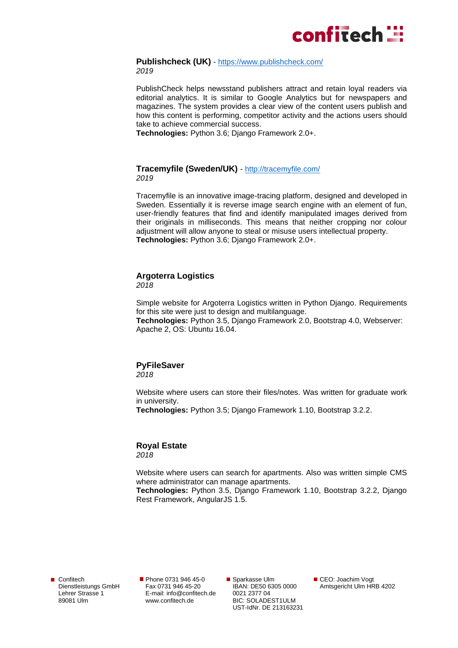

#### **Publishcheck (UK)** - <https://www.publishcheck.com/> *2019*

PublishCheck helps newsstand publishers attract and retain loyal readers via editorial analytics. It is similar to Google Analytics but for newspapers and magazines. The system provides a clear view of the content users publish and how this content is performing, competitor activity and the actions users should take to achieve commercial success.

**Technologies:** Python 3.6; Django Framework 2.0+.

#### **Tracemyfile (Sweden/UK)** - <http://tracemyfile.com/> *2019*

Tracemyfile is an innovative image-tracing platform, designed and developed in Sweden. Essentially it is reverse image search engine with an element of fun, user-friendly features that find and identify manipulated images derived from their originals in milliseconds. This means that neither cropping nor colour adjustment will allow anyone to steal or misuse users intellectual property. **Technologies:** Python 3.6; Django Framework 2.0+.

## **Argoterra Logistics**

*2018*

Simple website for Argoterra Logistics written in Python Django. Requirements for this site were just to design and multilanguage. **Technologies:** Python 3.5, Django Framework 2.0, Bootstrap 4.0, Webserver: Apache 2, OS: Ubuntu 16.04.

#### **PyFileSaver** *2018*

Website where users can store their files/notes. Was written for graduate work in university.

**Technologies:** Python 3.5; Django Framework 1.10, Bootstrap 3.2.2.

# **Royal Estate**

*2018*

Website where users can search for apartments. Also was written simple CMS where administrator can manage apartments.

**Technologies:** Python 3.5, Django Framework 1.10, Bootstrap 3.2.2, Django Rest Framework, AngularJS 1.5.

Confitech Dienstleistungs GmbH Lehrer Strasse 1 89081 Ulm

Phone 0731 946 45-0 Fax 0731 946 45-20 E-mail[: info@confitech.de](mailto:info@confitech.de) www.confitech.de

■ Sparkasse Ulm IBAN: DE50 6305 0000 0021 2377 04 BIC: SOLADEST1ULM UST-IdNr. DE 213163231